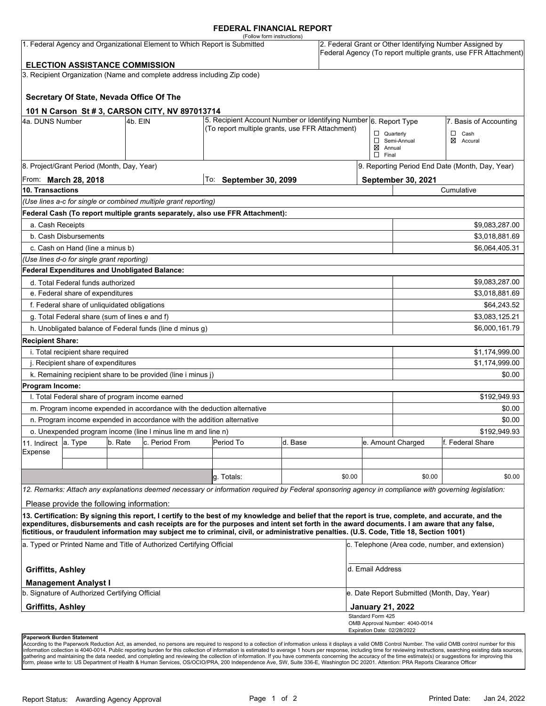# **FEDERAL FINANCIAL REPORT**

|                            | <b>ELECTION ASSISTANCE COMMISSION</b>                |         | 1. Federal Agency and Organizational Element to Which Report is Submitted | (Follow form instructions)                                                                                                                                                                                                                                                                                                                                                                                                                      |         |        |                                                  |                                             | 2. Federal Grant or Other Identifying Number Assigned by<br>Federal Agency (To report multiple grants, use FFR Attachment) |
|----------------------------|------------------------------------------------------|---------|---------------------------------------------------------------------------|-------------------------------------------------------------------------------------------------------------------------------------------------------------------------------------------------------------------------------------------------------------------------------------------------------------------------------------------------------------------------------------------------------------------------------------------------|---------|--------|--------------------------------------------------|---------------------------------------------|----------------------------------------------------------------------------------------------------------------------------|
|                            |                                                      |         | 3. Recipient Organization (Name and complete address including Zip code)  |                                                                                                                                                                                                                                                                                                                                                                                                                                                 |         |        |                                                  |                                             |                                                                                                                            |
|                            |                                                      |         |                                                                           |                                                                                                                                                                                                                                                                                                                                                                                                                                                 |         |        |                                                  |                                             |                                                                                                                            |
|                            | Secretary Of State, Nevada Office Of The             |         |                                                                           |                                                                                                                                                                                                                                                                                                                                                                                                                                                 |         |        |                                                  |                                             |                                                                                                                            |
|                            |                                                      |         | 101 N Carson St # 3, CARSON CITY, NV 897013714                            |                                                                                                                                                                                                                                                                                                                                                                                                                                                 |         |        |                                                  |                                             |                                                                                                                            |
| 4a. DUNS Number            |                                                      | 4b. EIN |                                                                           | 5. Recipient Account Number or Identifying Number 6. Report Type                                                                                                                                                                                                                                                                                                                                                                                |         |        |                                                  |                                             | 7. Basis of Accounting                                                                                                     |
|                            |                                                      |         |                                                                           | (To report multiple grants, use FFR Attachment)                                                                                                                                                                                                                                                                                                                                                                                                 |         |        | $\Box$ Quarterly                                 |                                             | $\Box$ Cash                                                                                                                |
|                            |                                                      |         |                                                                           |                                                                                                                                                                                                                                                                                                                                                                                                                                                 |         |        | $\boxtimes$ Annual                               | Semi-Annual                                 | ⊠<br>Accural                                                                                                               |
|                            |                                                      |         |                                                                           |                                                                                                                                                                                                                                                                                                                                                                                                                                                 |         |        | $\Box$ Final                                     |                                             |                                                                                                                            |
|                            | 8. Project/Grant Period (Month, Day, Year)           |         |                                                                           |                                                                                                                                                                                                                                                                                                                                                                                                                                                 |         |        |                                                  |                                             | 9. Reporting Period End Date (Month, Day, Year)                                                                            |
|                            | From: <b>March 28, 2018</b>                          |         |                                                                           | $ $ To: September 30, 2099                                                                                                                                                                                                                                                                                                                                                                                                                      |         |        |                                                  | September 30, 2021                          |                                                                                                                            |
| 10. Transactions           |                                                      |         |                                                                           |                                                                                                                                                                                                                                                                                                                                                                                                                                                 |         |        |                                                  |                                             | Cumulative                                                                                                                 |
|                            |                                                      |         | (Use lines a-c for single or combined multiple grant reporting)           |                                                                                                                                                                                                                                                                                                                                                                                                                                                 |         |        |                                                  |                                             |                                                                                                                            |
|                            |                                                      |         |                                                                           | Federal Cash (To report multiple grants separately, also use FFR Attachment):                                                                                                                                                                                                                                                                                                                                                                   |         |        |                                                  |                                             |                                                                                                                            |
| a. Cash Receipts           |                                                      |         |                                                                           |                                                                                                                                                                                                                                                                                                                                                                                                                                                 |         |        |                                                  |                                             | \$9,083,287.00                                                                                                             |
|                            | b. Cash Disbursements                                |         |                                                                           |                                                                                                                                                                                                                                                                                                                                                                                                                                                 |         |        |                                                  |                                             | \$3,018,881.69                                                                                                             |
|                            | c. Cash on Hand (line a minus b)                     |         |                                                                           |                                                                                                                                                                                                                                                                                                                                                                                                                                                 |         |        |                                                  |                                             | \$6,064,405.31                                                                                                             |
|                            | (Use lines d-o for single grant reporting)           |         |                                                                           |                                                                                                                                                                                                                                                                                                                                                                                                                                                 |         |        |                                                  |                                             |                                                                                                                            |
|                            | <b>Federal Expenditures and Unobligated Balance:</b> |         |                                                                           |                                                                                                                                                                                                                                                                                                                                                                                                                                                 |         |        |                                                  |                                             |                                                                                                                            |
|                            | d. Total Federal funds authorized                    |         |                                                                           |                                                                                                                                                                                                                                                                                                                                                                                                                                                 |         |        |                                                  |                                             | \$9,083,287.00                                                                                                             |
|                            | e. Federal share of expenditures                     |         |                                                                           |                                                                                                                                                                                                                                                                                                                                                                                                                                                 |         |        |                                                  |                                             | \$3,018,881.69                                                                                                             |
|                            | f. Federal share of unliquidated obligations         |         |                                                                           |                                                                                                                                                                                                                                                                                                                                                                                                                                                 |         |        |                                                  |                                             | \$64,243.52                                                                                                                |
|                            | g. Total Federal share (sum of lines e and f)        |         |                                                                           |                                                                                                                                                                                                                                                                                                                                                                                                                                                 |         |        |                                                  |                                             | \$3,083,125.21                                                                                                             |
|                            |                                                      |         | h. Unobligated balance of Federal funds (line d minus g)                  |                                                                                                                                                                                                                                                                                                                                                                                                                                                 |         |        |                                                  |                                             | \$6,000,161.79                                                                                                             |
| <b>Recipient Share:</b>    |                                                      |         |                                                                           |                                                                                                                                                                                                                                                                                                                                                                                                                                                 |         |        |                                                  |                                             |                                                                                                                            |
|                            | i. Total recipient share required                    |         |                                                                           |                                                                                                                                                                                                                                                                                                                                                                                                                                                 |         |        |                                                  |                                             | \$1,174,999.00                                                                                                             |
|                            | j. Recipient share of expenditures                   |         |                                                                           |                                                                                                                                                                                                                                                                                                                                                                                                                                                 |         |        |                                                  |                                             | \$1,174,999.00                                                                                                             |
|                            |                                                      |         | k. Remaining recipient share to be provided (line i minus j)              |                                                                                                                                                                                                                                                                                                                                                                                                                                                 |         |        |                                                  |                                             | \$0.00                                                                                                                     |
| Program Income:            |                                                      |         |                                                                           |                                                                                                                                                                                                                                                                                                                                                                                                                                                 |         |        |                                                  |                                             |                                                                                                                            |
|                            | I. Total Federal share of program income earned      |         |                                                                           |                                                                                                                                                                                                                                                                                                                                                                                                                                                 |         |        |                                                  |                                             | \$192,949.93                                                                                                               |
|                            |                                                      |         |                                                                           | m. Program income expended in accordance with the deduction alternative                                                                                                                                                                                                                                                                                                                                                                         |         |        |                                                  |                                             | \$0.00                                                                                                                     |
|                            |                                                      |         | n. Program income expended in accordance with the addition alternative    |                                                                                                                                                                                                                                                                                                                                                                                                                                                 |         |        |                                                  |                                             | \$0.00                                                                                                                     |
|                            |                                                      |         | o. Unexpended program income (line I minus line m and line n)             |                                                                                                                                                                                                                                                                                                                                                                                                                                                 |         |        |                                                  |                                             | \$192,949.93                                                                                                               |
| 11. Indirect               | a. Type                                              | b. Rate | c. Period From                                                            | Period To                                                                                                                                                                                                                                                                                                                                                                                                                                       | d. Base |        |                                                  | e. Amount Charged                           | f. Federal Share                                                                                                           |
| Expense                    |                                                      |         |                                                                           |                                                                                                                                                                                                                                                                                                                                                                                                                                                 |         |        |                                                  |                                             |                                                                                                                            |
|                            |                                                      |         |                                                                           |                                                                                                                                                                                                                                                                                                                                                                                                                                                 |         |        |                                                  |                                             |                                                                                                                            |
|                            |                                                      |         |                                                                           | g. Totals:                                                                                                                                                                                                                                                                                                                                                                                                                                      |         | \$0.00 |                                                  | \$0.00                                      | \$0.00                                                                                                                     |
|                            |                                                      |         |                                                                           | 12. Remarks: Attach any explanations deemed necessary or information required by Federal sponsoring agency in compliance with governing legislation:                                                                                                                                                                                                                                                                                            |         |        |                                                  |                                             |                                                                                                                            |
|                            | Please provide the following information:            |         |                                                                           |                                                                                                                                                                                                                                                                                                                                                                                                                                                 |         |        |                                                  |                                             |                                                                                                                            |
|                            |                                                      |         |                                                                           | 13. Certification: By signing this report, I certify to the best of my knowledge and belief that the report is true, complete, and accurate, and the<br>expenditures, disbursements and cash receipts are for the purposes and intent set forth in the award documents. I am aware that any false,<br>fictitious, or fraudulent information may subject me to criminal, civil, or administrative penalties. (U.S. Code, Title 18, Section 1001) |         |        |                                                  |                                             |                                                                                                                            |
|                            |                                                      |         | a. Typed or Printed Name and Title of Authorized Certifying Official      |                                                                                                                                                                                                                                                                                                                                                                                                                                                 |         |        |                                                  |                                             | c. Telephone (Area code, number, and extension)                                                                            |
| <b>Griffitts, Ashley</b>   |                                                      |         |                                                                           |                                                                                                                                                                                                                                                                                                                                                                                                                                                 |         |        | d. Email Address                                 |                                             |                                                                                                                            |
|                            | <b>Management Analyst I</b>                          |         |                                                                           |                                                                                                                                                                                                                                                                                                                                                                                                                                                 |         |        |                                                  |                                             |                                                                                                                            |
|                            | b. Signature of Authorized Certifying Official       |         |                                                                           |                                                                                                                                                                                                                                                                                                                                                                                                                                                 |         |        |                                                  | e. Date Report Submitted (Month, Day, Year) |                                                                                                                            |
| <b>Griffitts, Ashley</b>   |                                                      |         |                                                                           |                                                                                                                                                                                                                                                                                                                                                                                                                                                 |         |        | <b>January 21, 2022</b>                          |                                             |                                                                                                                            |
|                            |                                                      |         |                                                                           |                                                                                                                                                                                                                                                                                                                                                                                                                                                 |         |        | Standard Form 425<br>Expiration Date: 02/28/2022 | OMB Approval Number: 4040-0014              |                                                                                                                            |
| Paperwork Burden Statement |                                                      |         |                                                                           |                                                                                                                                                                                                                                                                                                                                                                                                                                                 |         |        |                                                  |                                             |                                                                                                                            |

According to the Paperwork Reduction Act, as amended, no persons are required to respond to a collection of information unless it displays a valid OMB Control Number. The valid OMB control number for this<br>information colle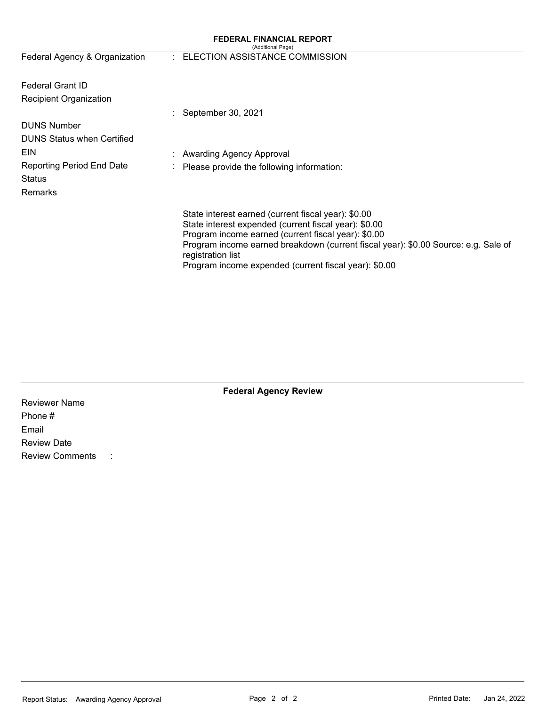# **FEDERAL FINANCIAL REPORT**

| (Additional Page) |
|-------------------|
|-------------------|

| Federal Agency & Organization     | : ELECTION ASSISTANCE COMMISSION                                                                                                                                                                                                                                                                                                        |
|-----------------------------------|-----------------------------------------------------------------------------------------------------------------------------------------------------------------------------------------------------------------------------------------------------------------------------------------------------------------------------------------|
| <b>Federal Grant ID</b>           |                                                                                                                                                                                                                                                                                                                                         |
| <b>Recipient Organization</b>     |                                                                                                                                                                                                                                                                                                                                         |
|                                   | September 30, 2021                                                                                                                                                                                                                                                                                                                      |
| <b>DUNS Number</b>                |                                                                                                                                                                                                                                                                                                                                         |
| <b>DUNS Status when Certified</b> |                                                                                                                                                                                                                                                                                                                                         |
| EIN                               | Awarding Agency Approval                                                                                                                                                                                                                                                                                                                |
| <b>Reporting Period End Date</b>  | Please provide the following information:                                                                                                                                                                                                                                                                                               |
| <b>Status</b>                     |                                                                                                                                                                                                                                                                                                                                         |
| Remarks                           |                                                                                                                                                                                                                                                                                                                                         |
|                                   | State interest earned (current fiscal year): \$0.00<br>State interest expended (current fiscal year): \$0.00<br>Program income earned (current fiscal year): \$0.00<br>Program income earned breakdown (current fiscal year): \$0.00 Source: e.g. Sale of<br>registration list<br>Program income expended (current fiscal year): \$0.00 |

| <b>Federal Agency Review</b> |  |  |
|------------------------------|--|--|
|------------------------------|--|--|

| <b>Reviewer Name</b>   |  |
|------------------------|--|
| Phone #                |  |
| Email                  |  |
| <b>Review Date</b>     |  |
| <b>Review Comments</b> |  |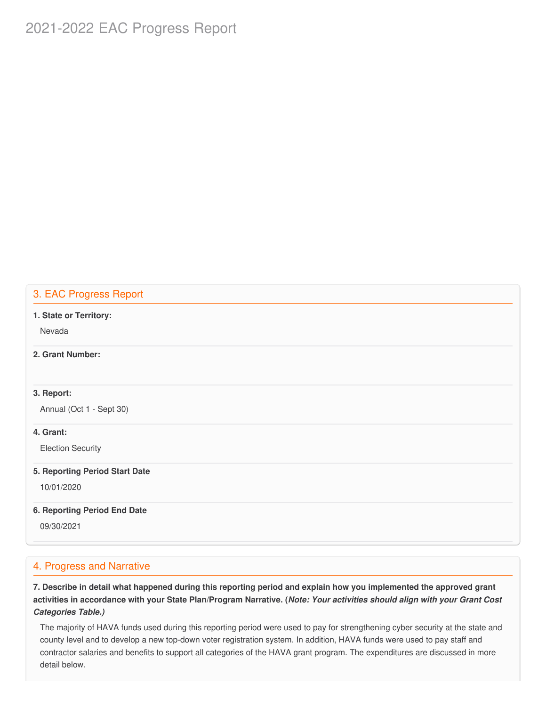# 2021-2022 EAC Progress Report

# 3. EAC Progress Report

### **1. State or Territory:**

Nevada

# **2. Grant Number:**

# **3. Report:**

Annual (Oct 1 - Sept 30)

# **4. Grant:**

Election Security

#### **5. Reporting Period Start Date**

10/01/2020

#### **6. Reporting Period End Date**

09/30/2021

# 4. Progress and Narrative

7. Describe in detail what happened during this reporting period and explain how you implemented the approved grant activities in accordance with your State Plan/Program Narrative. (*Note: Your activities should align with your Grant Cost Categories Table.)*

 The majority of HAVA funds used during this reporting period were used to pay for strengthening cyber security at the state and county level and to develop a new top-down voter registration system. In addition, HAVA funds were used to pay staff and contractor salaries and benefits to support all categories of the HAVA grant program. The expenditures are discussed in more detail below.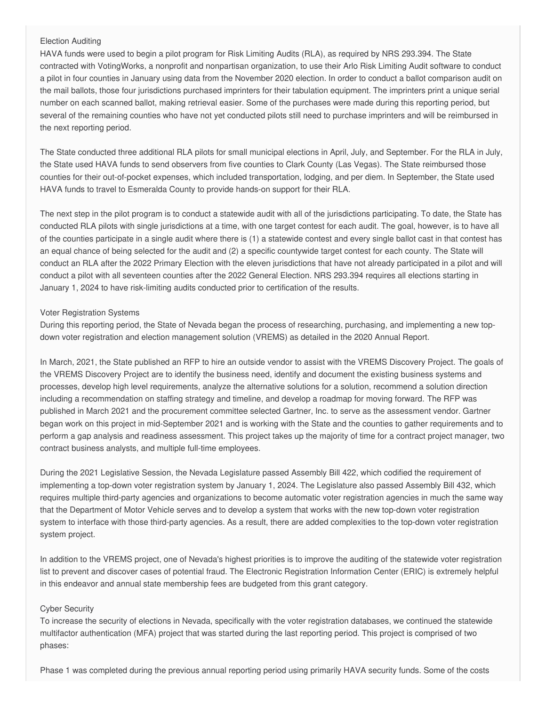### Election Auditing

 HAVA funds were used to begin a pilot program for Risk Limiting Audits (RLA), as required by NRS 293.394. The State contracted with VotingWorks, a nonprofit and nonpartisan organization, to use their Arlo Risk Limiting Audit software to conduct a pilot in four counties in January using data from the November 2020 election. In order to conduct a ballot comparison audit on the mail ballots, those four jurisdictions purchased imprinters for their tabulation equipment. The imprinters print a unique serial number on each scanned ballot, making retrieval easier. Some of the purchases were made during this reporting period, but several of the remaining counties who have not yet conducted pilots still need to purchase imprinters and will be reimbursed in the next reporting period.

 The State conducted three additional RLA pilots for small municipal elections in April, July, and September. For the RLA in July, the State used HAVA funds to send observers from five counties to Clark County (Las Vegas). The State reimbursed those counties for their out-of-pocket expenses, which included transportation, lodging, and per diem. In September, the State used HAVA funds to travel to Esmeralda County to provide hands-on support for their RLA.

 The next step in the pilot program is to conduct a statewide audit with all of the jurisdictions participating. To date, the State has conducted RLA pilots with single jurisdictions at a time, with one target contest for each audit. The goal, however, is to have all of the counties participate in a single audit where there is (1) a statewide contest and every single ballot cast in that contest has an equal chance of being selected for the audit and (2) a specific countywide target contest for each county. The State will conduct an RLA after the 2022 Primary Election with the eleven jurisdictions that have not already participated in a pilot and will conduct a pilot with all seventeen counties after the 2022 General Election. NRS 293.394 requires all elections starting in January 1, 2024 to have risk-limiting audits conducted prior to certification of the results.

#### Voter Registration Systems

 During this reporting period, the State of Nevada began the process of researching, purchasing, and implementing a new top-down voter registration and election management solution (VREMS) as detailed in the 2020 Annual Report.

 In March, 2021, the State published an RFP to hire an outside vendor to assist with the VREMS Discovery Project. The goals of the VREMS Discovery Project are to identify the business need, identify and document the existing business systems and processes, develop high level requirements, analyze the alternative solutions for a solution, recommend a solution direction including a recommendation on staffing strategy and timeline, and develop a roadmap for moving forward. The RFP was published in March 2021 and the procurement committee selected Gartner, Inc. to serve as the assessment vendor. Gartner began work on this project in mid-September 2021 and is working with the State and the counties to gather requirements and to perform a gap analysis and readiness assessment. This project takes up the majority of time for a contract project manager, two contract business analysts, and multiple full-time employees.

 During the 2021 Legislative Session, the Nevada Legislature passed Assembly Bill 422, which codified the requirement of implementing a top-down voter registration system by January 1, 2024. The Legislature also passed Assembly Bill 432, which requires multiple third-party agencies and organizations to become automatic voter registration agencies in much the same way that the Department of Motor Vehicle serves and to develop a system that works with the new top-down voter registration system to interface with those third-party agencies. As a result, there are added complexities to the top-down voter registration system project.

 In addition to the VREMS project, one of Nevada's highest priorities is to improve the auditing of the statewide voter registration list to prevent and discover cases of potential fraud. The Electronic Registration Information Center (ERIC) is extremely helpful in this endeavor and annual state membership fees are budgeted from this grant category.

# Cyber Security

 To increase the security of elections in Nevada, specifically with the voter registration databases, we continued the statewide multifactor authentication (MFA) project that was started during the last reporting period. This project is comprised of two phases:

Phase 1 was completed during the previous annual reporting period using primarily HAVA security funds. Some of the costs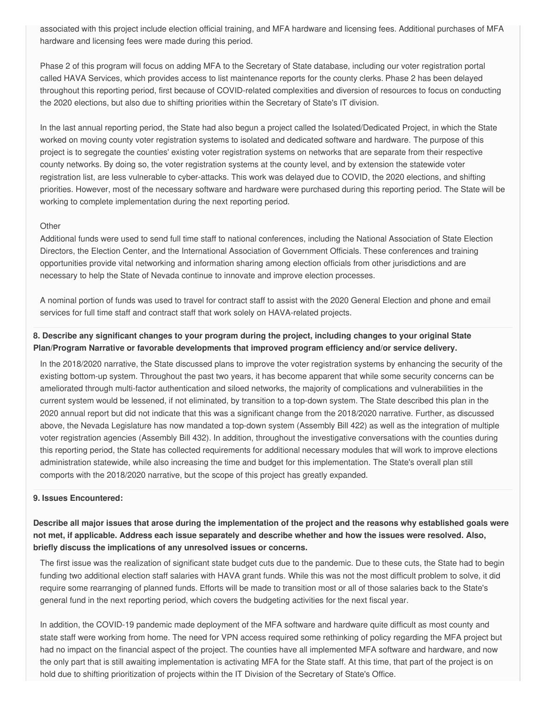associated with this project include election official training, and MFA hardware and licensing fees. Additional purchases of MFA hardware and licensing fees were made during this period.

 Phase 2 of this program will focus on adding MFA to the Secretary of State database, including our voter registration portal called HAVA Services, which provides access to list maintenance reports for the county clerks. Phase 2 has been delayed throughout this reporting period, first because of COVID-related complexities and diversion of resources to focus on conducting the 2020 elections, but also due to shifting priorities within the Secretary of State's IT division.

 In the last annual reporting period, the State had also begun a project called the Isolated/Dedicated Project, in which the State worked on moving county voter registration systems to isolated and dedicated software and hardware. The purpose of this project is to segregate the counties' existing voter registration systems on networks that are separate from their respective county networks. By doing so, the voter registration systems at the county level, and by extension the statewide voter registration list, are less vulnerable to cyber-attacks. This work was delayed due to COVID, the 2020 elections, and shifting priorities. However, most of the necessary software and hardware were purchased during this reporting period. The State will be working to complete implementation during the next reporting period.

#### **Other**

 Additional funds were used to send full time staff to national conferences, including the National Association of State Election Directors, the Election Center, and the International Association of Government Officials. These conferences and training opportunities provide vital networking and information sharing among election officials from other jurisdictions and are necessary to help the State of Nevada continue to innovate and improve election processes.

 A nominal portion of funds was used to travel for contract staff to assist with the 2020 General Election and phone and email services for full time staff and contract staff that work solely on HAVA-related projects.

# 8. Describe any significant changes to your program during the project, including changes to your original State  **Plan/Program Narrative or favorable developments that improved program efficiency and/or service delivery.**

 In the 2018/2020 narrative, the State discussed plans to improve the voter registration systems by enhancing the security of the existing bottom-up system. Throughout the past two years, it has become apparent that while some security concerns can be ameliorated through multi-factor authentication and siloed networks, the majority of complications and vulnerabilities in the current system would be lessened, if not eliminated, by transition to a top-down system. The State described this plan in the 2020 annual report but did not indicate that this was a significant change from the 2018/2020 narrative. Further, as discussed above, the Nevada Legislature has now mandated a top-down system (Assembly Bill 422) as well as the integration of multiple voter registration agencies (Assembly Bill 432). In addition, throughout the investigative conversations with the counties during this reporting period, the State has collected requirements for additional necessary modules that will work to improve elections administration statewide, while also increasing the time and budget for this implementation. The State's overall plan still comports with the 2018/2020 narrative, but the scope of this project has greatly expanded.

#### **9. Issues Encountered:**

Describe all major issues that arose during the implementation of the project and the reasons why established goals were not met, if applicable. Address each issue separately and describe whether and how the issues were resolved. Also,  **briefly discuss the implications of any unresolved issues or concerns.**

 The first issue was the realization of significant state budget cuts due to the pandemic. Due to these cuts, the State had to begin funding two additional election staff salaries with HAVA grant funds. While this was not the most difficult problem to solve, it did require some rearranging of planned funds. Efforts will be made to transition most or all of those salaries back to the State's general fund in the next reporting period, which covers the budgeting activities for the next fiscal year.

 In addition, the COVID-19 pandemic made deployment of the MFA software and hardware quite difficult as most county and state staff were working from home. The need for VPN access required some rethinking of policy regarding the MFA project but had no impact on the financial aspect of the project. The counties have all implemented MFA software and hardware, and now the only part that is still awaiting implementation is activating MFA for the State staff. At this time, that part of the project is on hold due to shifting prioritization of projects within the IT Division of the Secretary of State's Office.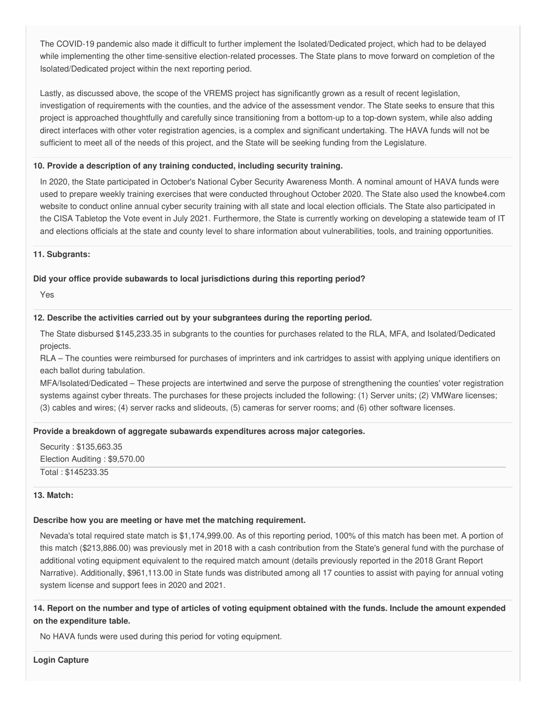The COVID-19 pandemic also made it difficult to further implement the Isolated/Dedicated project, which had to be delayed while implementing the other time-sensitive election-related processes. The State plans to move forward on completion of the Isolated/Dedicated project within the next reporting period.

 Lastly, as discussed above, the scope of the VREMS project has significantly grown as a result of recent legislation, investigation of requirements with the counties, and the advice of the assessment vendor. The State seeks to ensure that this project is approached thoughtfully and carefully since transitioning from a bottom-up to a top-down system, while also adding direct interfaces with other voter registration agencies, is a complex and significant undertaking. The HAVA funds will not be sufficient to meet all of the needs of this project, and the State will be seeking funding from the Legislature.

### **10. Provide a description of any training conducted, including security training.**

 In 2020, the State participated in October's National Cyber Security Awareness Month. A nominal amount of HAVA funds were used to prepare weekly training exercises that were conducted throughout October 2020. The State also used the [knowbe4.com](https://knowbe4.com) website to conduct online annual cyber security training with all state and local election officials. The State also participated in the CISA Tabletop the Vote event in July 2021. Furthermore, the State is currently working on developing a statewide team of IT and elections officials at the state and county level to share information about vulnerabilities, tools, and training opportunities.

### **11. Subgrants:**

# **Did your office provide subawards to local jurisdictions during this reporting period?**

Yes

# **12. Describe the activities carried out by your subgrantees during the reporting period.**

 The State disbursed [\\$145,233.35](https://145,233.35) in subgrants to the counties for purchases related to the RLA, MFA, and Isolated/Dedicated projects.

 RLA – The counties were reimbursed for purchases of imprinters and ink cartridges to assist with applying unique identifiers on each ballot during tabulation.

 MFA/Isolated/Dedicated – These projects are intertwined and serve the purpose of strengthening the counties' voter registration systems against cyber threats. The purchases for these projects included the following: (1) Server units; (2) VMWare licenses; (3) cables and wires; (4) server racks and slideouts, (5) cameras for server rooms; and (6) other software licenses.

#### **Provide a breakdown of aggregate subawards expenditures across major categories.**

 Security : \$[135,663.35](https://135,663.35) Election Auditing : [\\$9,570.00](https://9,570.00) Total : [\\$145233.35](https://145233.35)

#### **13. Match:**

# **Describe how you are meeting or have met the matching requirement.**

 Nevada's total required state match is \$[1,174,999.00](https://1,174,999.00). As of this reporting period, 100% of this match has been met. A portion of this match (\$[213,886.00\)](https://213,886.00) was previously met in 2018 with a cash contribution from the State's general fund with the purchase of additional voting equipment equivalent to the required match amount (details previously reported in the 2018 Grant Report Narrative). Additionally, \$[961,113.00](https://961,113.00) in State funds was distributed among all 17 counties to assist with paying for annual voting system license and support fees in 2020 and 2021.

14. Report on the number and type of articles of voting equipment obtained with the funds. Include the amount expended  **on the expenditure table.**

No HAVA funds were used during this period for voting equipment.

#### **Login Capture**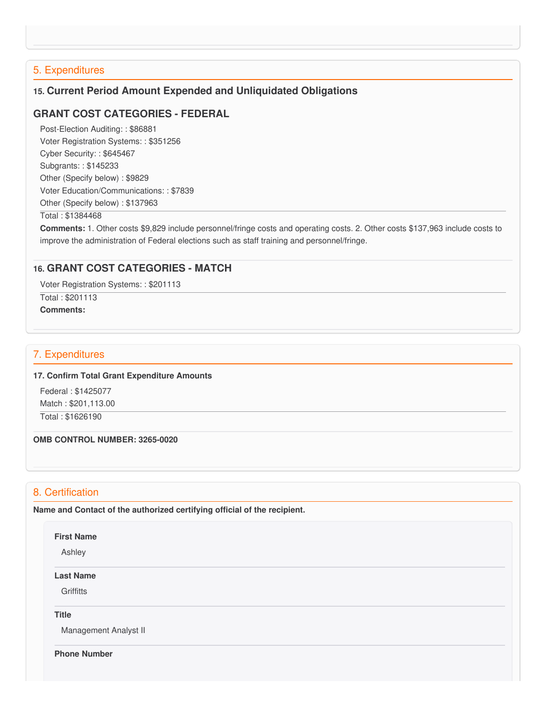# 5. Expenditures

# **15. Current Period Amount Expended and Unliquidated Obligations**

# **GRANT COST CATEGORIES - FEDERAL**

 Post-Election Auditing: : \$86881 Voter Registration Systems: : \$351256 Cyber Security: : \$645467 Subgrants: : \$145233 Other (Specify below) : \$9829 Voter Education/Communications: : \$7839 Other (Specify below) : \$137963

#### Total : \$1384468

 **Comments:** 1. Other costs \$9,829 include personnel/fringe costs and operating costs. 2. Other costs \$137,963 include costs to improve the administration of Federal elections such as staff training and personnel/fringe.

# **16. GRANT COST CATEGORIES - MATCH**

Voter Registration Systems: : \$201113

 Total : \$201113 **Comments:**

# 7. Expenditures

#### **17. Confirm Total Grant Expenditure Amounts**

 Federal : \$1425077 Match : \$[201,113.00](https://201,113.00)

Total : \$1626190

#### **OMB CONTROL NUMBER: 3265-0020**

# 8. Certification

 **Name and Contact of the authorized certifying official of the recipient.**

### **First Name**

Ashley

#### **Last Name**

**Griffitts** 

#### **Title**

Management Analyst II

**Phone Number**